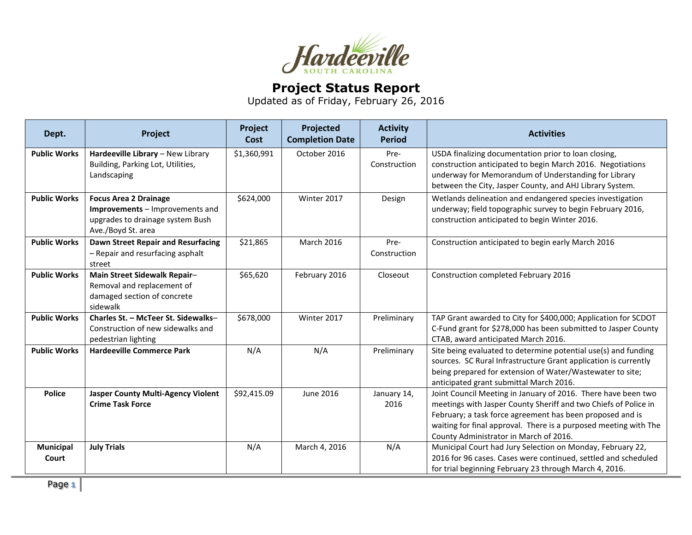

## **Project Status Report**

Updated as of Friday, February 26, 2016

| Dept.               | Project                                                                                                                   | Project<br><b>Cost</b> | Projected<br><b>Completion Date</b> | <b>Activity</b><br><b>Period</b> | <b>Activities</b>                                                                                                                                                                                                                                                                                           |
|---------------------|---------------------------------------------------------------------------------------------------------------------------|------------------------|-------------------------------------|----------------------------------|-------------------------------------------------------------------------------------------------------------------------------------------------------------------------------------------------------------------------------------------------------------------------------------------------------------|
| <b>Public Works</b> | Hardeeville Library - New Library<br>Building, Parking Lot, Utilities,<br>Landscaping                                     | \$1,360,991            | October 2016                        | Pre-<br>Construction             | USDA finalizing documentation prior to loan closing,<br>construction anticipated to begin March 2016. Negotiations<br>underway for Memorandum of Understanding for Library<br>between the City, Jasper County, and AHJ Library System.                                                                      |
| <b>Public Works</b> | <b>Focus Area 2 Drainage</b><br>Improvements - Improvements and<br>upgrades to drainage system Bush<br>Ave./Boyd St. area | \$624,000              | Winter 2017                         | Design                           | Wetlands delineation and endangered species investigation<br>underway; field topographic survey to begin February 2016,<br>construction anticipated to begin Winter 2016.                                                                                                                                   |
| <b>Public Works</b> | <b>Dawn Street Repair and Resurfacing</b><br>- Repair and resurfacing asphalt<br>street                                   | \$21,865               | <b>March 2016</b>                   | Pre-<br>Construction             | Construction anticipated to begin early March 2016                                                                                                                                                                                                                                                          |
| <b>Public Works</b> | Main Street Sidewalk Repair-<br>Removal and replacement of<br>damaged section of concrete<br>sidewalk                     | \$65,620               | February 2016                       | Closeout                         | Construction completed February 2016                                                                                                                                                                                                                                                                        |
| <b>Public Works</b> | Charles St. - McTeer St. Sidewalks-<br>Construction of new sidewalks and<br>pedestrian lighting                           | \$678,000              | Winter 2017                         | Preliminary                      | TAP Grant awarded to City for \$400,000; Application for SCDOT<br>C-Fund grant for \$278,000 has been submitted to Jasper County<br>CTAB, award anticipated March 2016.                                                                                                                                     |
| <b>Public Works</b> | <b>Hardeeville Commerce Park</b>                                                                                          | N/A                    | N/A                                 | Preliminary                      | Site being evaluated to determine potential use(s) and funding<br>sources. SC Rural Infrastructure Grant application is currently<br>being prepared for extension of Water/Wastewater to site;<br>anticipated grant submittal March 2016.                                                                   |
| <b>Police</b>       | <b>Jasper County Multi-Agency Violent</b><br><b>Crime Task Force</b>                                                      | \$92,415.09            | June 2016                           | January 14,<br>2016              | Joint Council Meeting in January of 2016. There have been two<br>meetings with Jasper County Sheriff and two Chiefs of Police in<br>February; a task force agreement has been proposed and is<br>waiting for final approval. There is a purposed meeting with The<br>County Administrator in March of 2016. |
| Municipal<br>Court  | <b>July Trials</b>                                                                                                        | N/A                    | March 4, 2016                       | N/A                              | Municipal Court had Jury Selection on Monday, February 22,<br>2016 for 96 cases. Cases were continued, settled and scheduled<br>for trial beginning February 23 through March 4, 2016.                                                                                                                      |